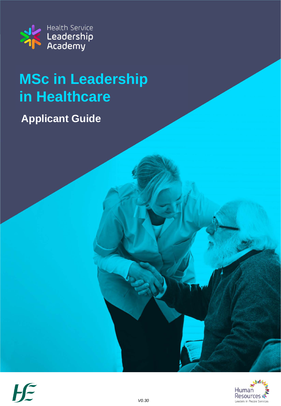

**Applicant Guide**



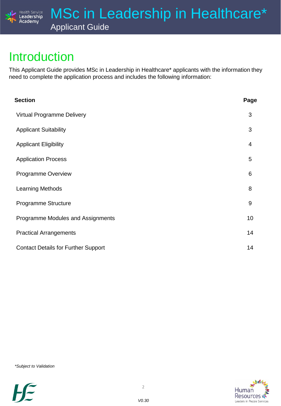

### Introduction

Health Service<br>Leadership Academy

This Applicant Guide provides MSc in Leadership in Healthcare\* applicants with the information they need to complete the application process and includes the following information:

| <b>Section</b>                             | Page |
|--------------------------------------------|------|
| <b>Virtual Programme Delivery</b>          | 3    |
| <b>Applicant Suitability</b>               | 3    |
| <b>Applicant Eligibility</b>               | 4    |
| <b>Application Process</b>                 | 5    |
| Programme Overview                         | 6    |
| <b>Learning Methods</b>                    | 8    |
| Programme Structure                        | 9    |
| Programme Modules and Assignments          | 10   |
| <b>Practical Arrangements</b>              | 14   |
| <b>Contact Details for Further Support</b> | 14   |

*\*Subject to Validation*

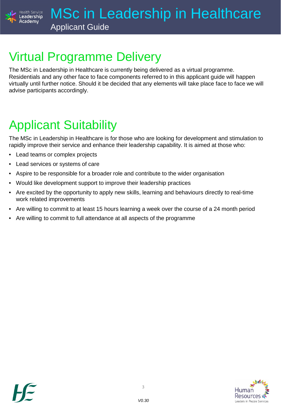

### Virtual Programme Delivery

The MSc in Leadership in Healthcare is currently being delivered as a virtual programme. Residentials and any other face to face components referred to in this applicant guide will happen virtually until further notice. Should it be decided that any elements will take place face to face we will advise participants accordingly.

### Applicant Suitability

The MSc in Leadership in Healthcare is for those who are looking for development and stimulation to rapidly improve their service and enhance their leadership capability. It is aimed at those who:

• Lead teams or complex projects

Academy

- Lead services or systems of care
- Aspire to be responsible for a broader role and contribute to the wider organisation
- Would like development support to improve their leadership practices
- Are excited by the opportunity to apply new skills, learning and behaviours directly to real-time work related improvements
- Are willing to commit to at least 15 hours learning a week over the course of a 24 month period
- Are willing to commit to full attendance at all aspects of the programme

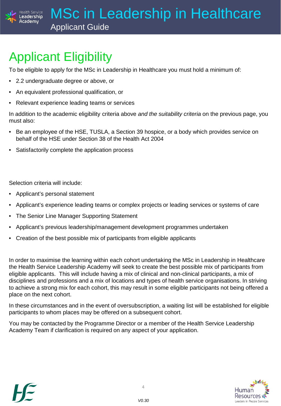Applicant Guide

### Applicant Eligibility

Health Service Leadership Academv

To be eligible to apply for the MSc in Leadership in Healthcare you must hold a minimum of:

- 2.2 undergraduate degree or above, or
- An equivalent professional qualification, or
- Relevant experience leading teams or services

In addition to the academic eligibility criteria above *and the suitability criteria* on the previous page, you must also:

- Be an employee of the HSE, TUSLA, a Section 39 hospice, or a body which provides service on behalf of the HSE under Section 38 of the Health Act 2004
- Satisfactorily complete the application process

Selection criteria will include:

- Applicant's personal statement
- Applicant's experience leading teams or complex projects or leading services or systems of care
- The Senior Line Manager Supporting Statement
- Applicant's previous leadership/management development programmes undertaken
- Creation of the best possible mix of participants from eligible applicants

In order to maximise the learning within each cohort undertaking the MSc in Leadership in Healthcare the Health Service Leadership Academy will seek to create the best possible mix of participants from eligible applicants. This will include having a mix of clinical and non-clinical participants, a mix of disciplines and professions and a mix of locations and types of health service organisations. In striving to achieve a strong mix for each cohort, this may result in some eligible participants not being offered a place on the next cohort.

In these circumstances and in the event of oversubscription, a waiting list will be established for eligible participants to whom places may be offered on a subsequent cohort.

You may be contacted by the Programme Director or a member of the Health Service Leadership Academy Team if clarification is required on any aspect of your application.

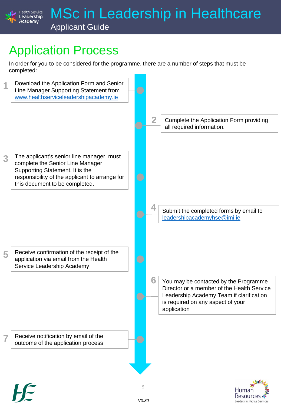## Application Process

Health Service<br>**Leadership** Academy

In order for you to be considered for the programme, there are a number of steps that must be completed:



**Resources** Leaders in People Services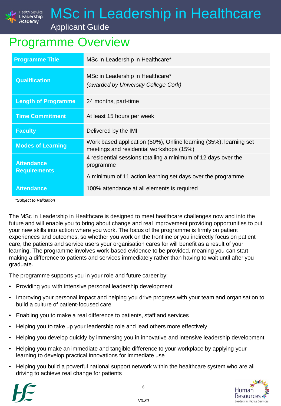

Applicant Guide

### Programme Overview

| <b>Programme Title</b>                   | MSc in Leadership in Healthcare*                                                                              |
|------------------------------------------|---------------------------------------------------------------------------------------------------------------|
| <b>Qualification</b>                     | MSc in Leadership in Healthcare*<br>(awarded by University College Cork)                                      |
| <b>Length of Programme</b>               | 24 months, part-time                                                                                          |
| <b>Time Commitment</b>                   | At least 15 hours per week                                                                                    |
| <b>Faculty</b>                           | Delivered by the IMI                                                                                          |
| <b>Modes of Learning</b>                 | Work based application (50%), Online learning (35%), learning set<br>meetings and residential workshops (15%) |
| <b>Attendance</b><br><b>Requirements</b> | 4 residential sessions totalling a minimum of 12 days over the<br>programme                                   |
|                                          | A minimum of 11 action learning set days over the programme                                                   |
| <b>Attendance</b>                        | 100% attendance at all elements is required                                                                   |

*\*Subject to Validation*

The MSc in Leadership in Healthcare is designed to meet healthcare challenges now and into the future and will enable you to bring about change and real improvement providing opportunities to put your new skills into action where you work. The focus of the programme is firmly on patient experiences and outcomes, so whether you work on the frontline or you indirectly focus on patient care, the patients and service users your organisation cares for will benefit as a result of your learning. The programme involves work-based evidence to be provided, meaning you can start making a difference to patients and services immediately rather than having to wait until after you graduate.

The programme supports you in your role and future career by:

- Providing you with intensive personal leadership development
- Improving your personal impact and helping you drive progress with your team and organisation to build a culture of patient-focused care
- Enabling you to make a real difference to patients, staff and services
- Helping you to take up your leadership role and lead others more effectively
- Helping you develop quickly by immersing you in innovative and intensive leadership development
- Helping you make an immediate and tangible difference to your workplace by applying your learning to develop practical innovations for immediate use
- Helping you build a powerful national support network within the healthcare system who are all driving to achieve real change for patients





6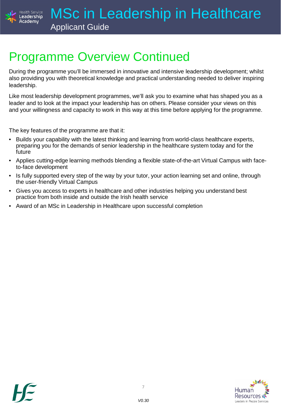

### Programme Overview Continued

During the programme you'll be immersed in innovative and intensive leadership development; whilst also providing you with theoretical knowledge and practical understanding needed to deliver inspiring leadership.

Like most leadership development programmes, we'll ask you to examine what has shaped you as a leader and to look at the impact your leadership has on others. Please consider your views on this and your willingness and capacity to work in this way at this time before applying for the programme.

The key features of the programme are that it:

- Builds your capability with the latest thinking and learning from world-class healthcare experts, preparing you for the demands of senior leadership in the healthcare system today and for the future
- Applies cutting-edge learning methods blending a flexible state-of-the-art Virtual Campus with faceto-face development
- Is fully supported every step of the way by your tutor, your action learning set and online, through the user-friendly Virtual Campus
- Gives you access to experts in healthcare and other industries helping you understand best practice from both inside and outside the Irish health service
- Award of an MSc in Leadership in Healthcare upon successful completion

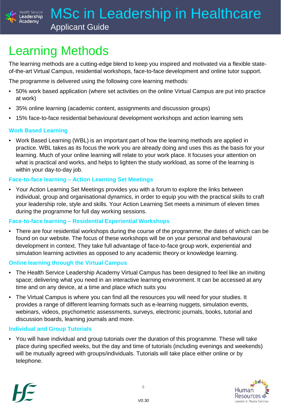

### Learning Methods

The learning methods are a cutting-edge blend to keep you inspired and motivated via a flexible stateof-the-art Virtual Campus, residential workshops, face-to-face development and online tutor support.

The programme is delivered using the following core learning methods:

- 50% work based application (where set activities on the online Virtual Campus are put into practice at work)
- 35% online learning (academic content, assignments and discussion groups)
- 15% face-to-face residential behavioural development workshops and action learning sets

#### **Work Based Learning**

Academv

• Work Based Learning (WBL) is an important part of how the learning methods are applied in practice. WBL takes as its focus the work you are already doing and uses this as the basis for your learning. Much of your online learning will relate to your work place. It focuses your attention on what is practical and works, and helps to lighten the study workload, as some of the learning is within your day-to-day job.

#### **Face-to-face learning – Action Learning Set Meetings**

• Your Action Learning Set Meetings provides you with a forum to explore the links between individual, group and organisational dynamics, in order to equip you with the practical skills to craft your leadership role, style and skills. Your Action Learning Set meets a minimum of eleven times during the programme for full day working sessions.

#### **Face-to-face learning – Residential Experiential Workshops**

• There are four residential workshops during the course of the programme; the dates of which can be found on our website. The focus of these workshops will be on your personal and behavioural development in context. They take full advantage of face-to-face group work, experiential and simulation learning activities as opposed to any academic theory or knowledge learning.

#### **Online learning through the Virtual Campus**

- The Health Service Leadership Academy Virtual Campus has been designed to feel like an inviting space; delivering what you need in an interactive learning environment. It can be accessed at any time and on any device, at a time and place which suits you
- The Virtual Campus is where you can find all the resources you will need for your studies. It provides a range of different learning formats such as e-learning nuggets, simulation events, webinars, videos, psychometric assessments, surveys, electronic journals, books, tutorial and discussion boards, learning journals and more.

#### **Individual and Group Tutorials**

• You will have individual and group tutorials over the duration of this programme. These will take place during specified weeks, but the day and time of tutorials (including evenings and weekends) will be mutually agreed with groups/individuals. Tutorials will take place either online or by telephone.





8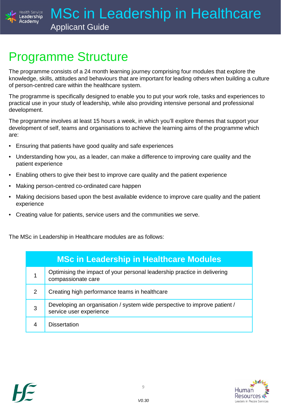

### Programme Structure

The programme consists of a 24 month learning journey comprising four modules that explore the knowledge, skills, attitudes and behaviours that are important for leading others when building a culture of person-centred care within the healthcare system.

The programme is specifically designed to enable you to put your work role, tasks and experiences to practical use in your study of leadership, while also providing intensive personal and professional development.

The programme involves at least 15 hours a week, in which you'll explore themes that support your development of self, teams and organisations to achieve the learning aims of the programme which are:

- Ensuring that patients have good quality and safe experiences
- Understanding how you, as a leader, can make a difference to improving care quality and the patient experience
- Enabling others to give their best to improve care quality and the patient experience
- Making person-centred co-ordinated care happen
- Making decisions based upon the best available evidence to improve care quality and the patient experience
- Creating value for patients, service users and the communities we serve.

The MSc in Leadership in Healthcare modules are as follows:

|   | <b>MSc in Leadership in Healthcare Modules</b>                                                       |
|---|------------------------------------------------------------------------------------------------------|
|   | Optimising the impact of your personal leadership practice in delivering<br>compassionate care       |
| 2 | Creating high performance teams in healthcare                                                        |
| 3 | Developing an organisation / system wide perspective to improve patient /<br>service user experience |
| 4 | <b>Dissertation</b>                                                                                  |



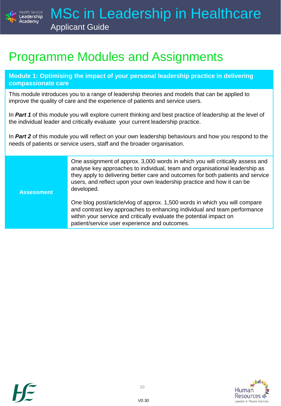

### Programme Modules and Assignments

**Module 1: Optimising the impact of your personal leadership practice in delivering compassionate care**

This module introduces you to a range of leadership theories and models that can be applied to improve the quality of care and the experience of patients and service users.

In *Part 1* of this module you will explore current thinking and best practice of leadership at the level of the individual leader and critically evaluate your current leadership practice.

In *Part 2* of this module you will reflect on your own leadership behaviours and how you respond to the needs of patients or service users, staff and the broader organisation.

> One assignment of approx. 3,000 words in which you will critically assess and analyse key approaches to individual, team and organisational leadership as they apply to delivering better care and outcomes for both patients and service users, and reflect upon your own leadership practice and how it can be developed.

**Assessment**

One blog post/article/vlog of approx. 1,500 words in which you will compare and contrast key approaches to enhancing individual and team performance within your service and critically evaluate the potential impact on patient/service user experience and outcomes.



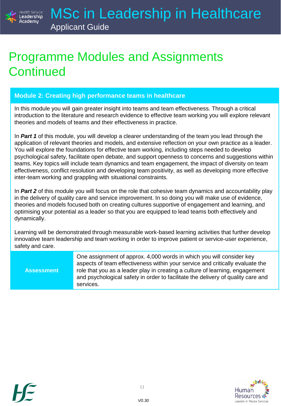### Programme Modules and Assignments **Continued**

#### **Module 2: Creating high performance teams in healthcare**

In this module you will gain greater insight into teams and team effectiveness. Through a critical introduction to the literature and research evidence to effective team working you will explore relevant theories and models of teams and their effectiveness in practice.

In *Part 1* of this module, you will develop a clearer understanding of the team you lead through the application of relevant theories and models, and extensive reflection on your own practice as a leader. You will explore the foundations for effective team working, including steps needed to develop psychological safety, facilitate open debate, and support openness to concerns and suggestions within teams. Key topics will include team dynamics and team engagement, the impact of diversity on team effectiveness, conflict resolution and developing team positivity, as well as developing more effective inter-team working and grappling with situational constraints.

In *Part 2* of this module you will focus on the role that cohesive team dynamics and accountability play in the delivery of quality care and service improvement. In so doing you will make use of evidence, theories and models focused both on creating cultures supportive of engagement and learning, and optimising your potential as a leader so that you are equipped to lead teams both effectively and dynamically.

Learning will be demonstrated through measurable work-based learning activities that further develop innovative team leadership and team working in order to improve patient or service-user experience, safety and care.

**Assessment**

One assignment of approx. 4,000 words in which you will consider key aspects of team effectiveness within your service and critically evaluate the role that you as a leader play in creating a culture of learning, engagement and psychological safety in order to facilitate the delivery of quality care and services.



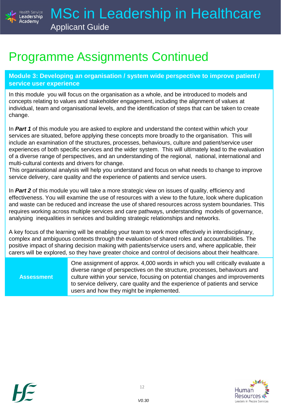

### Programme Assignments Continued

**Module 3: Developing an organisation / system wide perspective to improve patient / service user experience**

In this module you will focus on the organisation as a whole, and be introduced to models and concepts relating to values and stakeholder engagement, including the alignment of values at individual, team and organisational levels, and the identification of steps that can be taken to create change.

In *Part 1* of this module you are asked to explore and understand the context within which your services are situated, before applying these concepts more broadly to the organisation. This will include an examination of the structures, processes, behaviours, culture and patient/service user experiences of both specific services and the wider system. This will ultimately lead to the evaluation of a diverse range of perspectives, and an understanding of the regional, national, international and multi-cultural contexts and drivers for change.

This organisational analysis will help you understand and focus on what needs to change to improve service delivery, care quality and the experience of patients and service users.

In *Part 2* of this module you will take a more strategic view on issues of quality, efficiency and effectiveness. You will examine the use of resources with a view to the future, look where duplication and waste can be reduced and increase the use of shared resources across system boundaries. This requires working across multiple services and care pathways, understanding models of governance, analysing inequalities in services and building strategic relationships and networks.

A key focus of the learning will be enabling your team to work more effectively in interdisciplinary, complex and ambiguous contexts through the evaluation of shared roles and accountabilities. The positive impact of sharing decision making with patients/service users and, where applicable, their carers will be explored, so they have greater choice and control of decisions about their healthcare.

**Assessment**

One assignment of approx. 4,000 words in which you will critically evaluate a diverse range of perspectives on the structure, processes, behaviours and culture within your service, focusing on potential changes and improvements to service delivery, care quality and the experience of patients and service users and how they might be implemented.



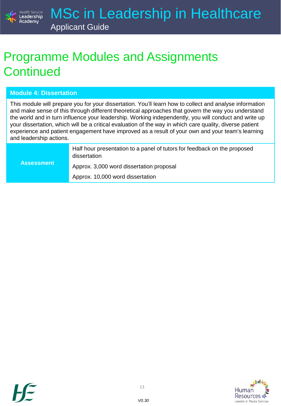

### Programme Modules and Assignments **Continued**

#### **Module 4: Dissertation**

This module will prepare you for your dissertation. You'll learn how to collect and analyse information and make sense of this through different theoretical approaches that govern the way you understand the world and in turn influence your leadership. Working independently, you will conduct and write up your dissertation, which will be a critical evaluation of the way in which care quality, diverse patient experience and patient engagement have improved as a result of your own and your team's learning and leadership actions.

|                   | Half hour presentation to a panel of tutors for feedback on the proposed<br>dissertation |
|-------------------|------------------------------------------------------------------------------------------|
| <b>Assessment</b> | Approx. 3,000 word dissertation proposal                                                 |
|                   | Approx. 10,000 word dissertation                                                         |